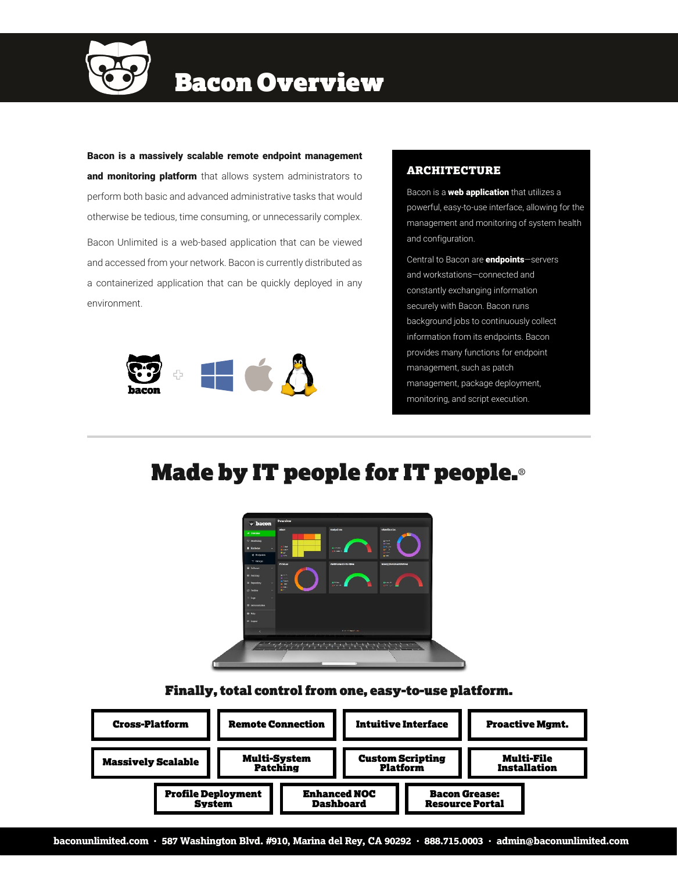

# Bacon Overview

Bacon is a massively scalable remote endpoint management and monitoring platform that allows system administrators to perform both basic and advanced administrative tasks that would otherwise be tedious, time consuming, or unnecessarily complex. Bacon Unlimited is a web-based application that can be viewed and accessed from your network. Bacon is currently distributed as a containerized application that can be quickly deployed in any environment.



### ARCHITECTURE

Bacon is a **web application** that utilizes a powerful, easy-to-use interface, allowing for the management and monitoring of system health and configuration.

Central to Bacon are **endpoints**-servers and workstations—connected and constantly exchanging information securely with Bacon. Bacon runs background jobs to continuously collect information from its endpoints. Bacon provides many functions for endpoint management, such as patch management, package deployment, monitoring, and script execution.

Made by IT people for IT people.®



## Finally, total control from one, easy-to-use platform.